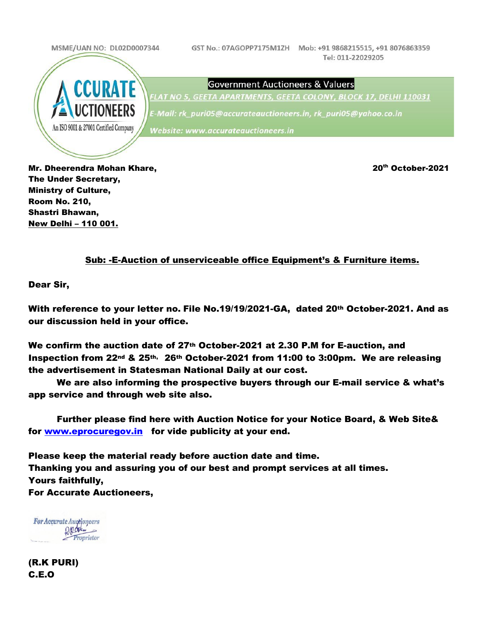

The Under Secretary, Ministry of Culture, Room No. 210, Shastri Bhawan, New Delhi – 110 001.

#### Sub: -E-Auction of unserviceable office Equipment's & Furniture items.

Dear Sir,

With reference to your letter no. File No.19/19/2021-GA, dated 20th October-2021. And as our discussion held in your office.

We confirm the auction date of 27th October-2021 at 2.30 P.M for E-auction, and Inspection from 22nd & 25th, 26th October-2021 from 11:00 to 3:00pm. We are releasing the advertisement in Statesman National Daily at our cost.

We are also informing the prospective buyers through our E-mail service & what's app service and through web site also.

Further please find here with Auction Notice for your Notice Board, & Web Site& for www.eprocuregov.in for vide publicity at your end.

Please keep the material ready before auction date and time. Thanking you and assuring you of our best and prompt services at all times. Yours faithfully, For Accurate Auctioneers,

For Accurate Auctioneers Depoten -Proprietor

(R.K PURI) C.E.O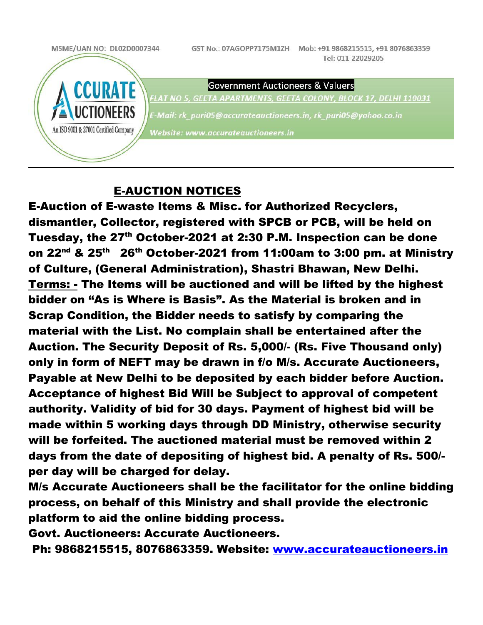

### E-AUCTION NOTICES

E-Auction of E-waste Items & Misc. for Authorized Recyclers, dismantler, Collector, registered with SPCB or PCB, will be held on Tuesday, the 27<sup>th</sup> October-2021 at 2:30 P.M. Inspection can be done on 22<sup>nd</sup> & 25<sup>th</sup> 26<sup>th</sup> October-2021 from 11:00am to 3:00 pm. at Ministry of Culture, (General Administration), Shastri Bhawan, New Delhi. Terms: - The Items will be auctioned and will be lifted by the highest bidder on "As is Where is Basis". As the Material is broken and in Scrap Condition, the Bidder needs to satisfy by comparing the material with the List. No complain shall be entertained after the Auction. The Security Deposit of Rs. 5,000/- (Rs. Five Thousand only) only in form of NEFT may be drawn in f/o M/s. Accurate Auctioneers, Payable at New Delhi to be deposited by each bidder before Auction. Acceptance of highest Bid Will be Subject to approval of competent authority. Validity of bid for 30 days. Payment of highest bid will be made within 5 working days through DD Ministry, otherwise security will be forfeited. The auctioned material must be removed within 2 days from the date of depositing of highest bid. A penalty of Rs. 500/ per day will be charged for delay.

M/s Accurate Auctioneers shall be the facilitator for the online bidding process, on behalf of this Ministry and shall provide the electronic platform to aid the online bidding process.

Govt. Auctioneers: Accurate Auctioneers.

Ph: 9868215515, 8076863359. Website: www.accurateauctioneers.in